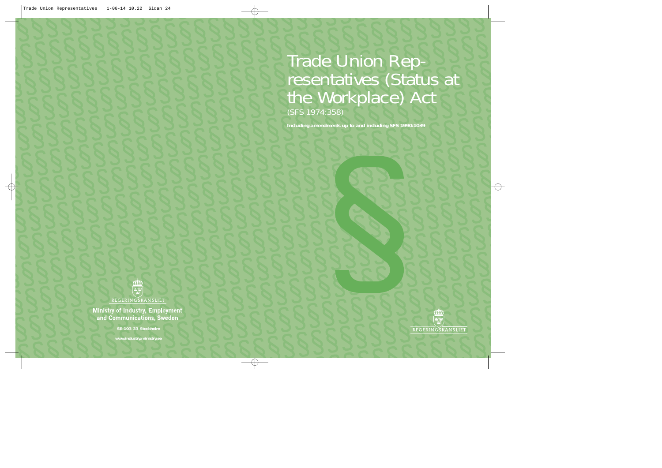## Trade Union Representatives (Status at the Workplace) Act (SFS 1974:358)

*Including amendments up to and including SFS 1990:1039*



**Ministry of Industry, Employment** and Communications, Sweden

**SE-103 33 Stockholm**

**www.industry.ministry.se**

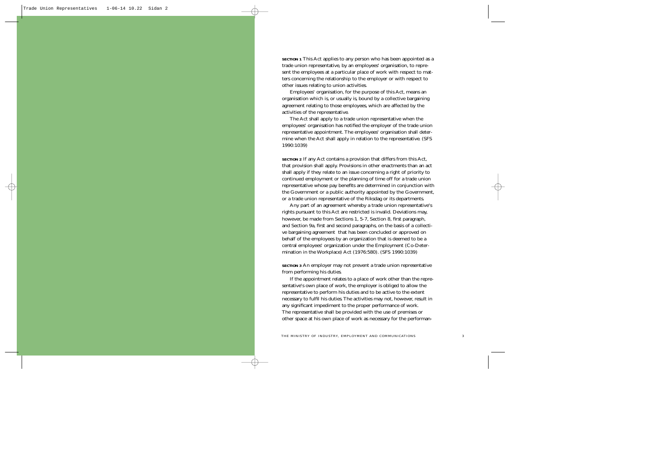**SECTION 1** This Act applies to any person who has been appointed as a trade union representative, by an employees' organisation, to represent the employees at a particular place of work with respect to matters concerning the relationship to the employer or with respect to other issues relating to union activities.

Employees' organisation, for the purpose of this Act, means an organisation which is, or usually is, bound by a collective bargaining agreement relating to those employees, which are affected by the activities of the representative.

The Act shall apply to a trade union representative when the employees' organisation has notified the employer of the trade union representative appointment. The employees' organisation shall determine when the Act shall apply in relation to the representative. (SFS 1990:1039)

**SECTION 2** If any Act contains a provision that differs from this Act, that provision shall apply. Provisions in other enactments than an act shall apply if they relate to an issue concerning a right of priority to continued employment or the planning of time off for a trade union representative whose pay benefits are determined in conjunction with the Government or a public authority appointed by the Government, or a trade union representative of the Riksdag or its departments.

Any part of an agreement whereby a trade union representative's rights pursuant to this Act are restricted is invalid. Deviations may, however, be made from Sections 1, 5-7, Section 8, first paragraph, and Section 9a, first and second paragraphs, on the basis of a collective bargaining agreement that has been concluded or approved on behalf of the employees by an organization that is deemed to be a central employees' organization under the Employment (Co-Determination in the Workplace) Act (1976:580). (SFS 1990:1039)

**SECTION 3** An employer may not prevent a trade union representative from performing his duties.

If the appointment relates to a place of work other than the representative's own place of work, the employer is obliged to allow the representative to perform his duties and to be active to the extent necessary to fulfil his duties. The activities may not, however, result in any significant impediment to the proper performance of work. The representative shall be provided with the use of premises or other space at his own place of work as necessary for the performan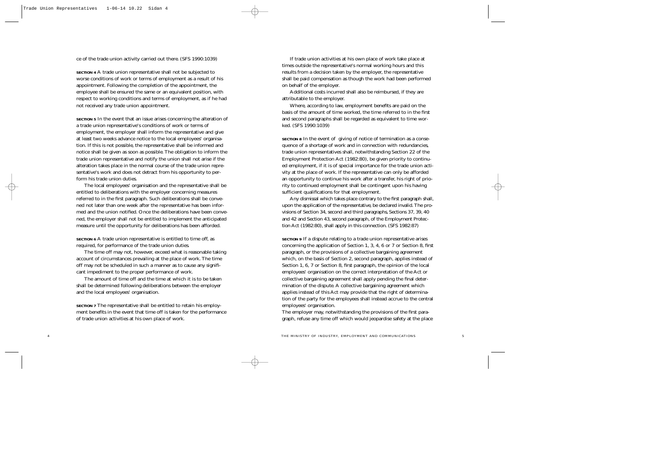ce of the trade union activity carried out there. (SFS 1990:1039)

**SECTION 4** A trade union representative shall not be subjected to worse conditions of work or terms of employment as a result of his appointment. Following the completion of the appointment, the employee shall be ensured the same or an equivalent position, with respect to working conditions and terms of employment, as if he had not received any trade union appointment.

**SECTION 5** In the event that an issue arises concerning the alteration of a trade union representative's conditions of work or terms of employment, the employer shall inform the representative and give at least two weeks advance notice to the local employees' organisation. If this is not possible, the representative shall be informed and notice shall be given as soon as possible. The obligation to inform the trade union representative and notify the union shall not arise if the alteration takes place in the normal course of the trade union representative's work and does not detract from his opportunity to perform his trade union duties.

The local employees' organisation and the representative shall be entitled to deliberations with the employer concerning measures referred to in the first paragraph. Such deliberations shall be convened not later than one week after the representative has been informed and the union notified. Once the deliberations have been convened, the employer shall not be entitled to implement the anticipated measure until the opportunity for deliberations has been afforded.

**SECTION 6** A trade union representative is entitled to time off, as required, for performance of the trade union duties.

The time off may not, however, exceed what is reasonable taking account of circumstances prevailing at the place of work. The time off may not be scheduled in such a manner as to cause any significant impediment to the proper performance of work.

The amount of time off and the time at which it is to be taken shall be determined following deliberations between the employer and the local employees' organisation.

**SECTION 7** The representative shall be entitled to retain his employment benefits in the event that time off is taken for the performance of trade union activities at his own place of work.

If trade union activities at his own place of work take place at times outside the representative's normal working hours and this results from a decision taken by the employer, the representative shall be paid compensation as though the work had been performed on behalf of the employer.

Additional costs incurred shall also be reimbursed, if they are attributable to the employer.

Where, according to law, employment benefits are paid on the basis of the amount of time worked, the time referred to in the first and second paragraphs shall be regarded as equivalent to time worked. (SFS 1990:1039)

**SECTION 8** In the event of giving of notice of termination as a consequence of a shortage of work and in connection with redundancies, trade union representatives shall, notwithstanding Section 22 of the Employment Protection Act (1982:80), be given priority to continued employment, if it is of special importance for the trade union activity at the place of work. If the representative can only be afforded an opportunity to continue his work after a transfer, his right of priority to continued employment shall be contingent upon his having sufficient qualifications for that employment.

Any dismissal which takes place contrary to the first paragraph shall, upon the application of the representative, be declared invalid. The provisions of Section 34, second and third paragraphs, Sections 37, 39, 40 and 42 and Section 43, second paragraph, of the Employment Protection Act (1982:80), shall apply in this connection. (SFS 1982:87)

**SECTION 9** If a dispute relating to a trade union representative arises concerning the application of Section 1, 3, 4, 6 or 7 or Section 8, first paragraph, or the provisions of a collective bargaining agreement which, on the basis of Section 2, second paragraph, applies instead of Section 1, 6, 7 or Section 8, first paragraph, the opinion of the local employees' organisation on the correct interpretation of the Act or collective bargaining agreement shall apply pending the final determination of the dispute. A collective bargaining agreement which applies instead of this Act may provide that the right of determination of the party for the employees shall instead accrue to the central employees' organisation.

The employer may, notwithstanding the provisions of the first paragraph, refuse any time off which would jeopardise safety at the place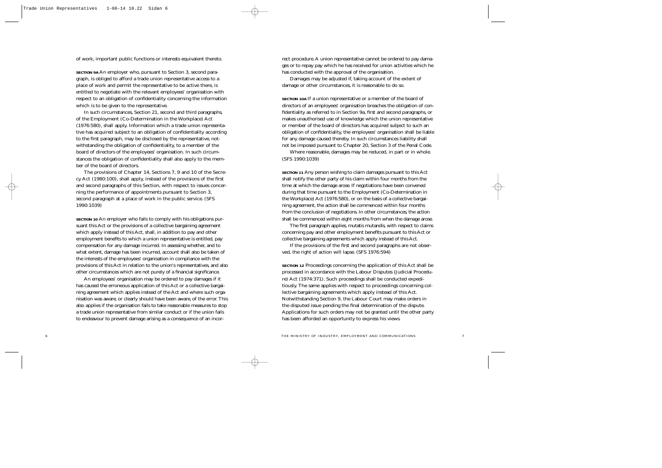of work, important public functions or interests equivalent thereto.

**SECTION 9A** An employer who, pursuant to Section 3, second paragraph, is obliged to afford a trade union representative access to a place of work and permit the representative to be active there, is entitled to negotiate with the relevant employees' organisation with respect to an obligation of confidentiality concerning the information which is to be given to the representative.

In such circumstances, Section 21, second and third paragraphs, of the Employment (Co-Determination in the Workplace) Act (1976:580), shall apply. Information which a trade union representative has acquired subject to an obligation of confidentiality according to the first paragraph, may be disclosed by the representative, notwithstanding the obligation of confidentiality, to a member of the board of directors of the employees' organisation. In such circumstances the obligation of confidentiality shall also apply to the member of the board of directors.

The provisions of Chapter 14, Sections 7, 9 and 10 of the Secrecy Act (1980:100), shall apply, instead of the provisions of the first and second paragraphs of this Section, with respect to issues concerning the performance of appointments pursuant to Section 3, second paragraph at a place of work in the public service. (SFS 1990:1039)

**SECTION 10** An employer who fails to comply with his obligations pursuant this Act or the provisions of a collective bargaining agreement which apply instead of this Act, shall, in addition to pay and other employment benefits to which a union representative is entitled, pay compensation for any damage incurred. In assessing whether, and to what extent, damage has been incurred, account shall also be taken of the interests of the employees' organisation in compliance with the provisions of this Act in relation to the union's representatives, and also other circumstances which are not purely of a financial significance.

An employees' organisation may be ordered to pay damages if it has caused the erroneous application of this Act or a collective bargaining agreement which applies instead of the Act and where such organisation was aware, or clearly should have been aware, of the error. This also applies if the organisation fails to take reasonable measures to stop a trade union representative from similar conduct or if the union fails to endeavour to prevent damage arising as a consequence of an incor-

rect procedure. A union representative cannot be ordered to pay damages or to repay pay which he has received for union activities which he has conducted with the approval of the organisation.

Damages may be adjusted if, taking account of the extent of damage or other circumstances, it is reasonable to do so.

**SECTION 10A** If a union representative or a member of the board of directors of an employees' organisation breaches the obligation of confidentiality as referred to in Section 9a, first and second paragraphs, or makes unauthorised use of knowledge which the union representative or member of the board of directors has acquired subject to such an obligation of confidentiality, the employees' organisation shall be liable for any damage caused thereby. In such circumstances liability shall not be imposed pursuant to Chapter 20, Section 3 of the Penal Code.

Where reasonable, damages may be reduced, in part or in whole. (SFS 1990:1039)

**SECTION 11** Any person wishing to claim damages pursuant to this Act shall notify the other party of his claim within four months from the time at which the damage arose. If negotiations have been convened during that time pursuant to the Employment (Co-Determination in the Workplace) Act (1976:580), or on the basis of a collective bargaining agreement, the action shall be commenced within four months from the conclusion of negotiations. In other circumstances, the action shall be commenced within eight months from when the damage arose.

The first paragraph applies, mutatis mutandis, with respect to claims concerning pay and other employment benefits pursuant to this Act or collective bargaining agreements which apply instead of this Act.

If the provisions of the first and second paragraphs are not observed, the right of action will lapse. (SFS 1976:594)

**SECTION 12** Proceedings concerning the application of this Act shall be processed in accordance with the Labour Disputes (Judicial Procedure) Act (1974:371). Such proceedings shall be conducted expeditiously. The same applies with respect to proceedings concerning collective bargaining agreements which apply instead of this Act. Notwithstanding Section 9, the Labour Court may make orders in the disputed issue pending the final determination of the dispute. Applications for such orders may not be granted until the other party has been afforded an opportunity to express his views.